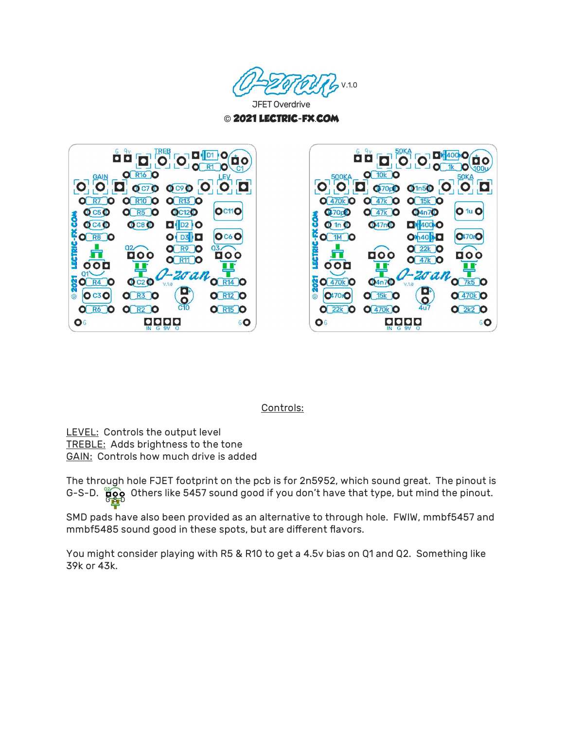



O DI 400 O Ò  $\mathbf{o}$  $\Omega$ n  $Q$  10 $k$   $Q$  $00K$  $\overline{\mathbf{o}}$  $\overline{O}$  $|O|$   $|O|$   $(370)$   $|O|$   $|O|$  $\blacksquare$  $Q$  470 $k$   $Q$  $Q(47k)Q$  $O$  15 $k$   $O$  $Q<sub>4n7</sub>Q$  $O1uO$  $Q$ 70 $Q$  $O(47k)$ COM  $0 \ln 0$  $047nO$  $O$   $400$  O LECTRIC-FX **Q17010 O 1M O Oh10 XD**  $O<sup>22k</sup>$   $O$ **DOO** 000  $O(47k)$ O 000 ш -zoal **D21**  $Q$  470 $k$   $Q$  $04n70$  $O$  7 $k5$   $O$  $\frac{D}{2}$ **0470rO**  $Q$ <sup>470k</sub> $Q$ </sup> **O** 15k **O**  $O(22k)$  $Q$  470 $k$   $Q$  $O(2k2)O$ 06 GO

## Controls:

LEVEL: Controls the output level TREBLE: Adds brightness to the tone GAIN: Controls how much drive is added

G-S-D.  $\overline{\mathbf{g}}$   $\mathbf{\hat{g}}$  Others like 5457 sound good if you don't have that type, but mind the pinout. The through hole FJET footprint on the pcb is for 2n5952, which sound great. The pinout is

SMD pads have also been provided as an alternative to through hole. FWIW, mmbf5457 and mmbf5485 sound good in these spots, but are different flavors.

You might consider playing with R5 & R10 to get a 4.5v bias on Q1 and Q2. Something like 39k or 43k.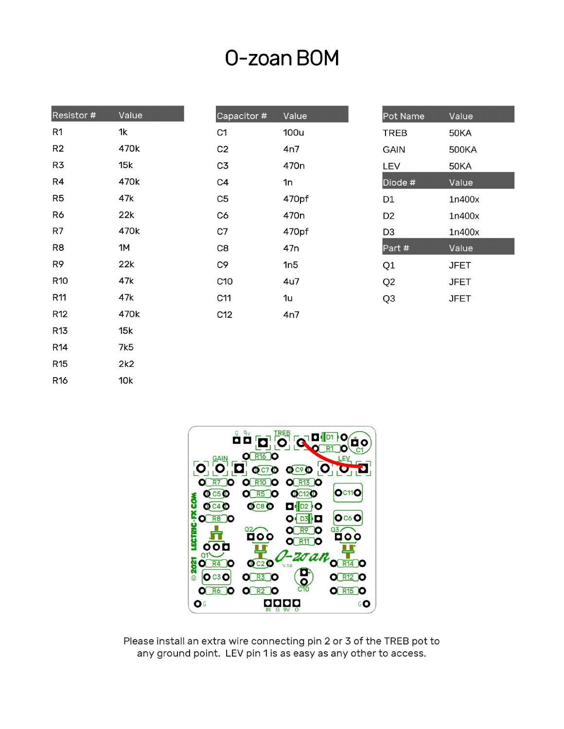## O-zoan BOM

| Resistor # | Value |
|------------|-------|
| R1         | 1k    |
| R2         | 470k  |
| R3         | 15k   |
| R4         | 470k  |
| R5         | 47k   |
| R6         | 22k   |
| R7         | 470k  |
| R8         | 1M    |
| R9         | 22k   |
| R10        | 47k   |
| R11        | 47k   |
| R12        | 470k  |
| R13        | 15k   |
| R14        | 7k5   |
| R15        | 2k2   |
| R16        | 10k   |
|            |       |

| Capacitor #     | Value            |
|-----------------|------------------|
| C <sub>1</sub>  | <b>100u</b>      |
| C <sub>2</sub>  | 4n7              |
| C3              | 470n             |
| C4              | 1n               |
| C5              | 470pf            |
| C6              | 470 <sub>n</sub> |
| C7              | 470pf            |
| C8              | 47n              |
| C9              | 1n5              |
| C <sub>10</sub> | 4u7              |
| C11             | 1u               |
| C12             | 4n7              |

| Pot Name       | Value       |
|----------------|-------------|
| TREB           | 50KA        |
| GAIN           | 500KA       |
| LEV            | 50KA        |
| Diode #        | Value       |
| D1             | 1n400x      |
| D2             | 1n400x      |
| D3             | 1n400x      |
| Part #         | Value       |
| Q1             | JFET        |
| Q <sub>2</sub> | <b>JFET</b> |
| Q3             | JFET        |



Please install an extra wire connecting pin 2 or 3 of the TREB pot to any ground point. LEV pin 1 is as easy as any other to access.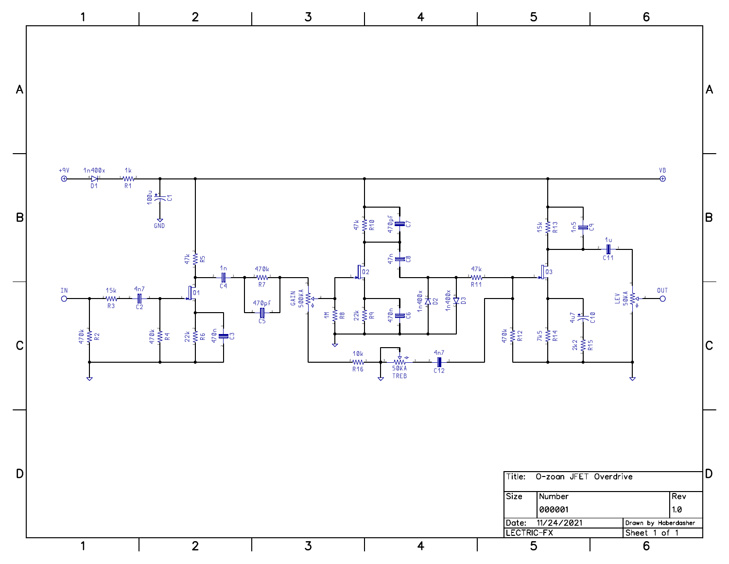